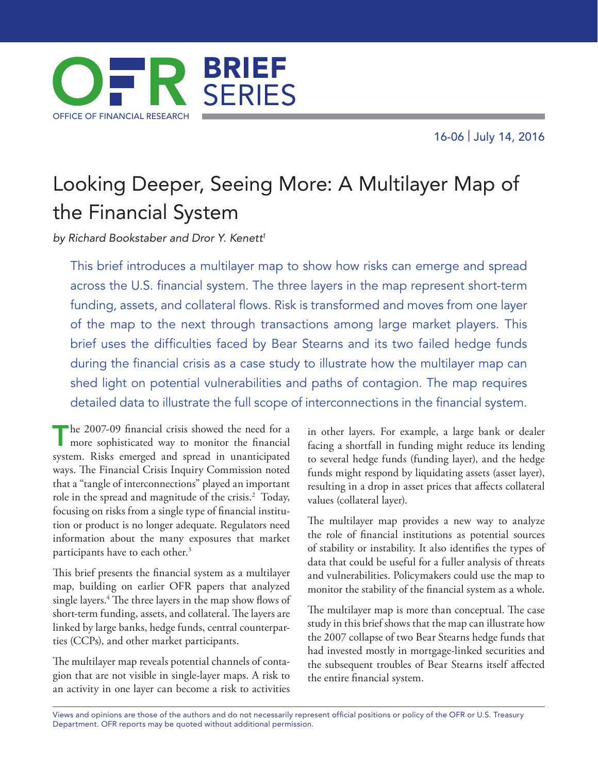16-06 | July 14, 2016



# Looking Deeper, Seeing More: A Multilayer Map of the Financial System

*by Richard Bookstaber and Dror Y. Kenett1*

This brief introduces a multilayer map to show how risks can emerge and spread across the U.S. financial system. The three layers in the map represent short-term funding, assets, and collateral flows. Risk is transformed and moves from one layer of the map to the next through transactions among large market players. This brief uses the difficulties faced by Bear Stearns and its two failed hedge funds during the financial crisis as a case study to illustrate how the multilayer map can shed light on potential vulnerabilities and paths of contagion. The map requires detailed data to illustrate the full scope of interconnections in the financial system.

The 2007-09 financial crisis showed the need for a more sophisticated way to monitor the financial system. Risks emerged and spread in unanticipated ways. The Financial Crisis Inquiry Commission noted that a "tangle of interconnections" played an important role in the spread and magnitude of the crisis.<sup>2</sup> Today, focusing on risks from a single type of financial institution or product is no longer adequate. Regulators need information about the many exposures that market participants have to each other.<sup>3</sup>

This brief presents the financial system as a multilayer map, building on earlier OFR papers that analyzed single layers.4 The three layers in the map show flows of short-term funding, assets, and collateral. The layers are linked by large banks, hedge funds, central counterparties (CCPs), and other market participants.

The multilayer map reveals potential channels of contagion that are not visible in single-layer maps. A risk to an activity in one layer can become a risk to activities in other layers. For example, a large bank or dealer facing a shortfall in funding might reduce its lending to several hedge funds (funding layer), and the hedge funds might respond by liquidating assets (asset layer), resulting in a drop in asset prices that affects collateral values (collateral layer).

The multilayer map provides a new way to analyze the role of financial institutions as potential sources of stability or instability. It also identifies the types of data that could be useful for a fuller analysis of threats and vulnerabilities. Policymakers could use the map to monitor the stability of the financial system as a whole.

The multilayer map is more than conceptual. The case study in this brief shows that the map can illustrate how the 2007 collapse of two Bear Stearns hedge funds that had invested mostly in mortgage-linked securities and the subsequent troubles of Bear Stearns itself affected the entire financial system.

Views and opinions are those of the authors and do not necessarily represent official positions or policy of the OFR or U.S. Treasury Department. OFR reports may be quoted without additional permission.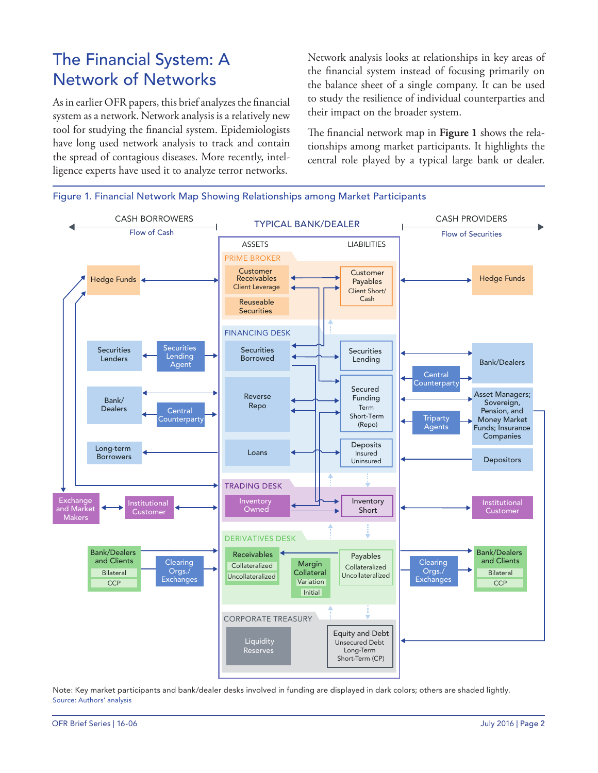## The Financial System: A Network of Networks

As in earlier OFR papers, this brief analyzes the financial system as a network. Network analysis is a relatively new tool for studying the financial system. Epidemiologists have long used network analysis to track and contain the spread of contagious diseases. More recently, intelligence experts have used it to analyze terror networks.

Network analysis looks at relationships in key areas of the financial system instead of focusing primarily on the balance sheet of a single company. It can be used to study the resilience of individual counterparties and their impact on the broader system.

The financial network map in **Figure 1** shows the relationships among market participants. It highlights the central role played by a typical large bank or dealer.



Note: Key market participants and bank/dealer desks involved in funding are displayed in dark colors; others are shaded lightly. Source: Authors' analysis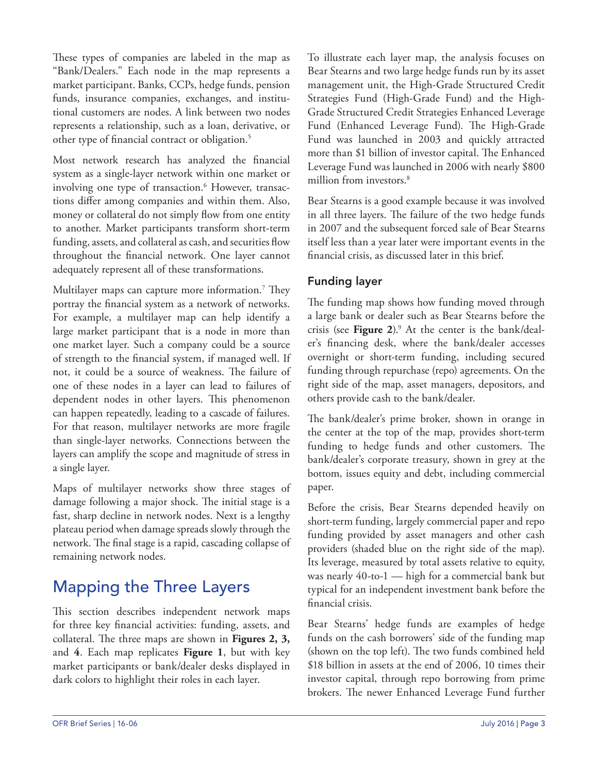These types of companies are labeled in the map as "Bank/Dealers." Each node in the map represents a market participant. Banks, CCPs, hedge funds, pension funds, insurance companies, exchanges, and institutional customers are nodes. A link between two nodes represents a relationship, such as a loan, derivative, or other type of financial contract or obligation.<sup>5</sup>

Most network research has analyzed the financial system as a single-layer network within one market or involving one type of transaction.6 However, transactions differ among companies and within them. Also, money or collateral do not simply flow from one entity to another. Market participants transform short-term funding, assets, and collateral as cash, and securities flow throughout the financial network. One layer cannot adequately represent all of these transformations.

Multilayer maps can capture more information.7 They portray the financial system as a network of networks. For example, a multilayer map can help identify a large market participant that is a node in more than one market layer. Such a company could be a source of strength to the financial system, if managed well. If not, it could be a source of weakness. The failure of one of these nodes in a layer can lead to failures of dependent nodes in other layers. This phenomenon can happen repeatedly, leading to a cascade of failures. For that reason, multilayer networks are more fragile than single-layer networks. Connections between the layers can amplify the scope and magnitude of stress in a single layer.

Maps of multilayer networks show three stages of damage following a major shock. The initial stage is a fast, sharp decline in network nodes. Next is a lengthy plateau period when damage spreads slowly through the network. The final stage is a rapid, cascading collapse of remaining network nodes.

# Mapping the Three Layers

This section describes independent network maps for three key financial activities: funding, assets, and collateral. The three maps are shown in **Figures 2, 3,**  and **4**. Each map replicates **Figure 1**, but with key market participants or bank/dealer desks displayed in dark colors to highlight their roles in each layer.

To illustrate each layer map, the analysis focuses on Bear Stearns and two large hedge funds run by its asset management unit, the High-Grade Structured Credit Strategies Fund (High-Grade Fund) and the High-Grade Structured Credit Strategies Enhanced Leverage Fund (Enhanced Leverage Fund). The High-Grade Fund was launched in 2003 and quickly attracted more than \$1 billion of investor capital. The Enhanced Leverage Fund was launched in 2006 with nearly \$800 million from investors.<sup>8</sup>

Bear Stearns is a good example because it was involved in all three layers. The failure of the two hedge funds in 2007 and the subsequent forced sale of Bear Stearns itself less than a year later were important events in the financial crisis, as discussed later in this brief.

#### Funding layer

The funding map shows how funding moved through a large bank or dealer such as Bear Stearns before the crisis (see **Figure 2**).9 At the center is the bank/dealer's financing desk, where the bank/dealer accesses overnight or short-term funding, including secured funding through repurchase (repo) agreements. On the right side of the map, asset managers, depositors, and others provide cash to the bank/dealer.

The bank/dealer's prime broker, shown in orange in the center at the top of the map, provides short-term funding to hedge funds and other customers. The bank/dealer's corporate treasury, shown in grey at the bottom, issues equity and debt, including commercial paper.

Before the crisis, Bear Stearns depended heavily on short-term funding, largely commercial paper and repo funding provided by asset managers and other cash providers (shaded blue on the right side of the map). Its leverage, measured by total assets relative to equity, was nearly 40-to-1 — high for a commercial bank but typical for an independent investment bank before the financial crisis.

Bear Stearns' hedge funds are examples of hedge funds on the cash borrowers' side of the funding map (shown on the top left). The two funds combined held \$18 billion in assets at the end of 2006, 10 times their investor capital, through repo borrowing from prime brokers. The newer Enhanced Leverage Fund further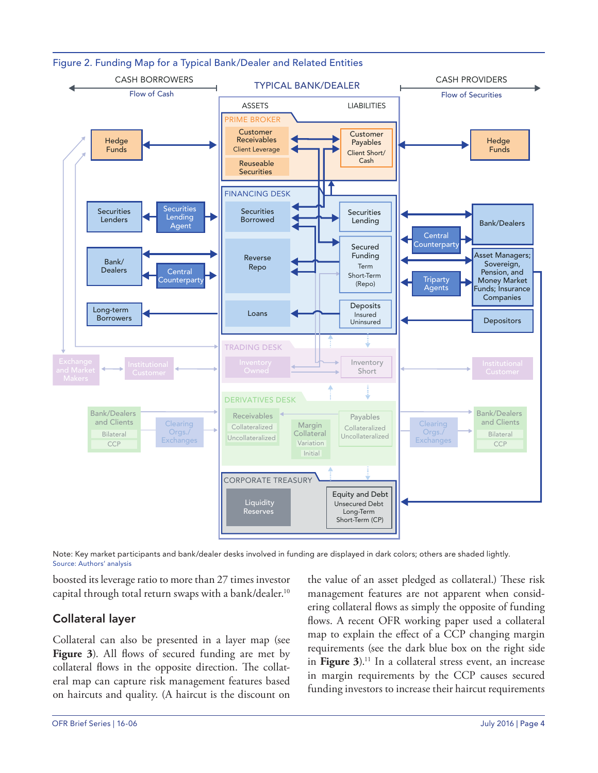

Figure 2. Funding Map for a Typical Bank/Dealer and Related Entities

Note: Key market participants and bank/dealer desks involved in funding are displayed in dark colors; others are shaded lightly. Source: Authors' analysis

boosted its leverage ratio to more than 27 times investor capital through total return swaps with a bank/dealer.<sup>10</sup>

#### Collateral layer

Collateral can also be presented in a layer map (see Figure 3). All flows of secured funding are met by collateral flows in the opposite direction. The collateral map can capture risk management features based on haircuts and quality. (A haircut is the discount on the value of an asset pledged as collateral.) These risk management features are not apparent when considering collateral flows as simply the opposite of funding flows. A recent OFR working paper used a collateral map to explain the effect of a CCP changing margin requirements (see the dark blue box on the right side in Figure 3).<sup>11</sup> In a collateral stress event, an increase in margin requirements by the CCP causes secured funding investors to increase their haircut requirements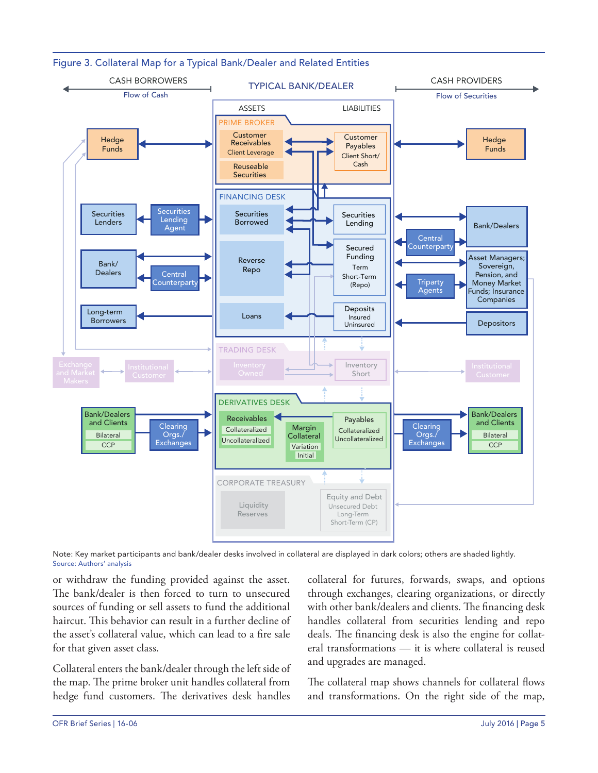

Figure 3. Collateral Map for a Typical Bank/Dealer and Related Entities

Note: Key market participants and bank/dealer desks involved in collateral are displayed in dark colors; others are shaded lightly. Source: Authors' analysis

or withdraw the funding provided against the asset. The bank/dealer is then forced to turn to unsecured sources of funding or sell assets to fund the additional haircut. This behavior can result in a further decline of the asset's collateral value, which can lead to a fire sale for that given asset class.

Collateral enters the bank/dealer through the left side of the map. The prime broker unit handles collateral from hedge fund customers. The derivatives desk handles

collateral for futures, forwards, swaps, and options through exchanges, clearing organizations, or directly with other bank/dealers and clients. The financing desk handles collateral from securities lending and repo deals. The financing desk is also the engine for collateral transformations — it is where collateral is reused and upgrades are managed.

The collateral map shows channels for collateral flows and transformations. On the right side of the map,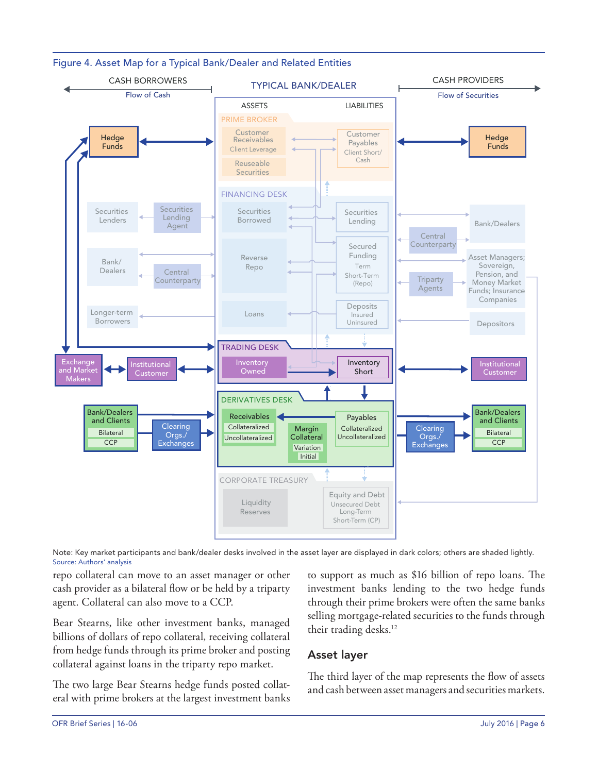

#### Figure 4. Asset Map for a Typical Bank/Dealer and Related Entities

Note: Key market participants and bank/dealer desks involved in the asset layer are displayed in dark colors; others are shaded lightly. Source: Authors' analysis

repo collateral can move to an asset manager or other cash provider as a bilateral flow or be held by a triparty agent. Collateral can also move to a CCP.

Bear Stearns, like other investment banks, managed billions of dollars of repo collateral, receiving collateral from hedge funds through its prime broker and posting collateral against loans in the triparty repo market.

The two large Bear Stearns hedge funds posted collateral with prime brokers at the largest investment banks

to support as much as \$16 billion of repo loans. The investment banks lending to the two hedge funds through their prime brokers were often the same banks selling mortgage-related securities to the funds through their trading desks.<sup>12</sup>

#### Asset layer

The third layer of the map represents the flow of assets and cash between asset managers and securities markets.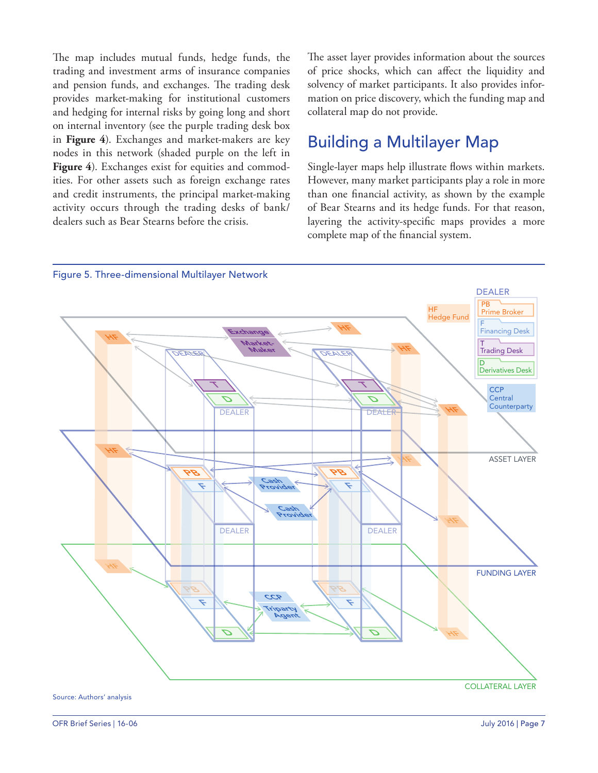The map includes mutual funds, hedge funds, the trading and investment arms of insurance companies and pension funds, and exchanges. The trading desk provides market-making for institutional customers and hedging for internal risks by going long and short on internal inventory (see the purple trading desk box in **Figure 4**). Exchanges and market-makers are key nodes in this network (shaded purple on the left in Figure 4). Exchanges exist for equities and commodities. For other assets such as foreign exchange rates and credit instruments, the principal market-making activity occurs through the trading desks of bank/ dealers such as Bear Stearns before the crisis.

The asset layer provides information about the sources of price shocks, which can affect the liquidity and solvency of market participants. It also provides information on price discovery, which the funding map and collateral map do not provide.

## Building a Multilayer Map

Single-layer maps help illustrate flows within markets. However, many market participants play a role in more than one financial activity, as shown by the example of Bear Stearns and its hedge funds. For that reason, layering the activity-specific maps provides a more complete map of the financial system.

![](_page_6_Figure_4.jpeg)

Figure 5. Three-dimensional Multilayer Network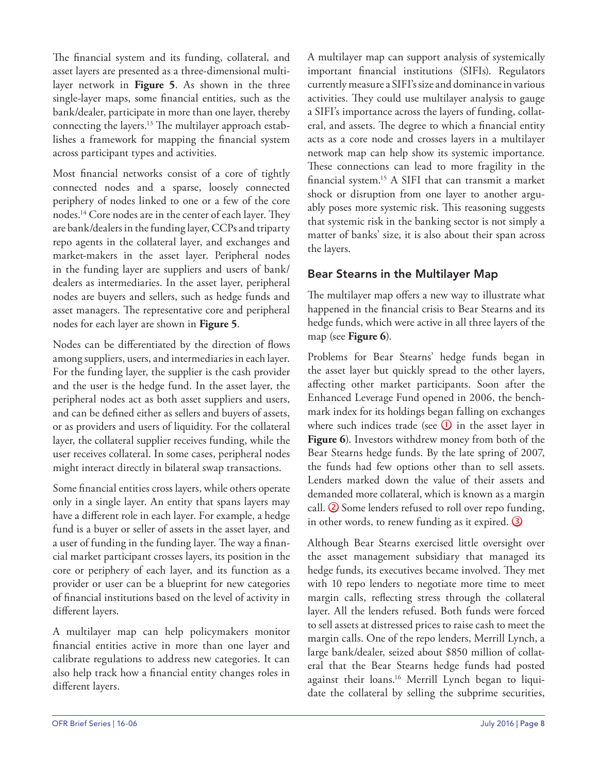The financial system and its funding, collateral, and asset layers are presented as a three-dimensional multilayer network in **Figure 5**. As shown in the three single-layer maps, some financial entities, such as the bank/dealer, participate in more than one layer, thereby connecting the layers.13 The multilayer approach establishes a framework for mapping the financial system across participant types and activities.

Most financial networks consist of a core of tightly connected nodes and a sparse, loosely connected periphery of nodes linked to one or a few of the core nodes.14 Core nodes are in the center of each layer. They are bank/dealers in the funding layer, CCPs and triparty repo agents in the collateral layer, and exchanges and market-makers in the asset layer. Peripheral nodes in the funding layer are suppliers and users of bank/ dealers as intermediaries. In the asset layer, peripheral nodes are buyers and sellers, such as hedge funds and asset managers. The representative core and peripheral nodes for each layer are shown in **Figure 5**.

Nodes can be differentiated by the direction of flows among suppliers, users, and intermediaries in each layer. For the funding layer, the supplier is the cash provider and the user is the hedge fund. In the asset layer, the peripheral nodes act as both asset suppliers and users, and can be defined either as sellers and buyers of assets, or as providers and users of liquidity. For the collateral layer, the collateral supplier receives funding, while the user receives collateral. In some cases, peripheral nodes might interact directly in bilateral swap transactions.

Some financial entities cross layers, while others operate only in a single layer. An entity that spans layers may have a different role in each layer. For example, a hedge fund is a buyer or seller of assets in the asset layer, and a user of funding in the funding layer. The way a financial market participant crosses layers, its position in the core or periphery of each layer, and its function as a provider or user can be a blueprint for new categories of financial institutions based on the level of activity in different layers.

A multilayer map can help policymakers monitor financial entities active in more than one layer and calibrate regulations to address new categories. It can also help track how a financial entity changes roles in different layers.

A multilayer map can support analysis of systemically important financial institutions (SIFIs). Regulators currently measure a SIFI's size and dominance in various activities. They could use multilayer analysis to gauge a SIFI's importance across the layers of funding, collateral, and assets. The degree to which a financial entity acts as a core node and crosses layers in a multilayer network map can help show its systemic importance. These connections can lead to more fragility in the financial system.15 A SIFI that can transmit a market shock or disruption from one layer to another arguably poses more systemic risk. This reasoning suggests that systemic risk in the banking sector is not simply a matter of banks' size, it is also about their span across the layers.

#### Bear Stearns in the Multilayer Map

The multilayer map offers a new way to illustrate what happened in the financial crisis to Bear Stearns and its hedge funds, which were active in all three layers of the map (see **Figure 6**).

Problems for Bear Stearns' hedge funds began in the asset layer but quickly spread to the other layers, affecting other market participants. Soon after the Enhanced Leverage Fund opened in 2006, the benchmark index for its holdings began falling on exchanges where such indices trade (see  $\overline{0}$  in the asset layer in **Figure 6**). Investors withdrew money from both of the Bear Stearns hedge funds. By the late spring of 2007, the funds had few options other than to sell assets. Lenders marked down the value of their assets and demanded more collateral, which is known as a margin call.  $\circled{2}$  Some lenders refused to roll over repo funding, in other words, to renew funding as it expired. 3

Although Bear Stearns exercised little oversight over the asset management subsidiary that managed its hedge funds, its executives became involved. They met with 10 repo lenders to negotiate more time to meet margin calls, reflecting stress through the collateral layer. All the lenders refused. Both funds were forced to sell assets at distressed prices to raise cash to meet the margin calls. One of the repo lenders, Merrill Lynch, a large bank/dealer, seized about \$850 million of collateral that the Bear Stearns hedge funds had posted against their loans.16 Merrill Lynch began to liquidate the collateral by selling the subprime securities,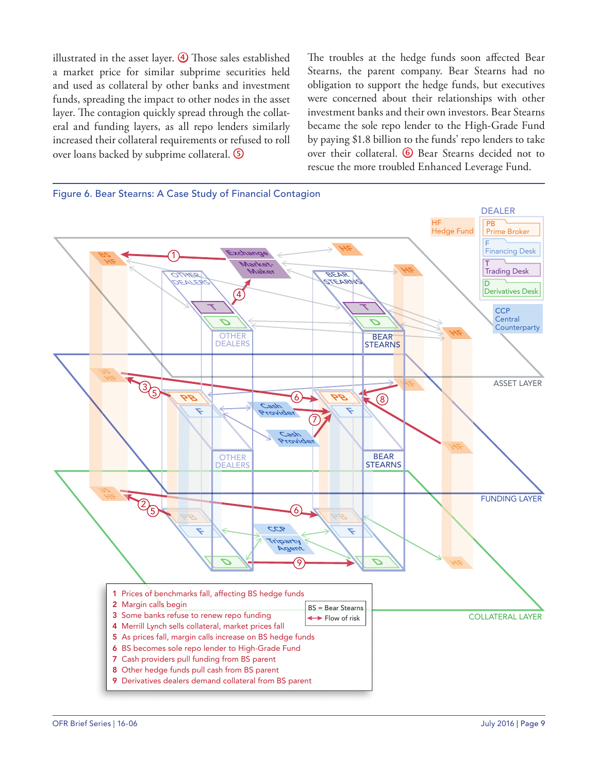illustrated in the asset layer.  $\bigoplus$  Those sales established a market price for similar subprime securities held and used as collateral by other banks and investment funds, spreading the impact to other nodes in the asset layer. The contagion quickly spread through the collateral and funding layers, as all repo lenders similarly increased their collateral requirements or refused to roll over loans backed by subprime collateral.

The troubles at the hedge funds soon affected Bear Stearns, the parent company. Bear Stearns had no obligation to support the hedge funds, but executives were concerned about their relationships with other investment banks and their own investors. Bear Stearns became the sole repo lender to the High-Grade Fund by paying \$1.8 billion to the funds' repo lenders to take over their collateral. <sup>6</sup> Bear Stearns decided not to rescue the more troubled Enhanced Leverage Fund.

![](_page_8_Figure_2.jpeg)

![](_page_8_Figure_3.jpeg)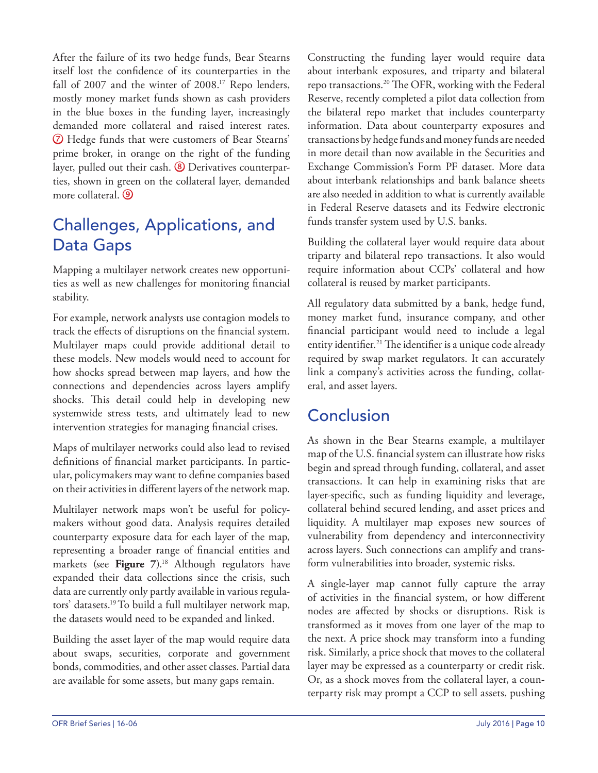After the failure of its two hedge funds, Bear Stearns itself lost the confidence of its counterparties in the fall of 2007 and the winter of 2008.<sup>17</sup> Repo lenders, mostly money market funds shown as cash providers in the blue boxes in the funding layer, increasingly demanded more collateral and raised interest rates. Hedge funds that were customers of Bear Stearns' prime broker, in orange on the right of the funding layer, pulled out their cash.  $\circled{8}$  Derivatives counterparties, shown in green on the collateral layer, demanded more collateral. <sup>9</sup>

# Challenges, Applications, and Data Gaps

Mapping a multilayer network creates new opportunities as well as new challenges for monitoring financial stability.

For example, network analysts use contagion models to track the effects of disruptions on the financial system. Multilayer maps could provide additional detail to these models. New models would need to account for how shocks spread between map layers, and how the connections and dependencies across layers amplify shocks. This detail could help in developing new systemwide stress tests, and ultimately lead to new intervention strategies for managing financial crises.

Maps of multilayer networks could also lead to revised definitions of financial market participants. In particular, policymakers may want to define companies based on their activities in different layers of the network map.

Multilayer network maps won't be useful for policymakers without good data. Analysis requires detailed counterparty exposure data for each layer of the map, representing a broader range of financial entities and markets (see Figure 7).<sup>18</sup> Although regulators have expanded their data collections since the crisis, such data are currently only partly available in various regulators' datasets.19 To build a full multilayer network map, the datasets would need to be expanded and linked.

Building the asset layer of the map would require data about swaps, securities, corporate and government bonds, commodities, and other asset classes. Partial data are available for some assets, but many gaps remain.

Constructing the funding layer would require data about interbank exposures, and triparty and bilateral repo transactions.20 The OFR, working with the Federal Reserve, recently completed a pilot data collection from the bilateral repo market that includes counterparty information. Data about counterparty exposures and transactions by hedge funds and money funds are needed in more detail than now available in the Securities and Exchange Commission's Form PF dataset. More data about interbank relationships and bank balance sheets are also needed in addition to what is currently available in Federal Reserve datasets and its Fedwire electronic funds transfer system used by U.S. banks.

Building the collateral layer would require data about triparty and bilateral repo transactions. It also would require information about CCPs' collateral and how collateral is reused by market participants.

All regulatory data submitted by a bank, hedge fund, money market fund, insurance company, and other financial participant would need to include a legal entity identifier.21 The identifier is a unique code already required by swap market regulators. It can accurately link a company's activities across the funding, collateral, and asset layers.

# Conclusion

As shown in the Bear Stearns example, a multilayer map of the U.S. financial system can illustrate how risks begin and spread through funding, collateral, and asset transactions. It can help in examining risks that are layer-specific, such as funding liquidity and leverage, collateral behind secured lending, and asset prices and liquidity. A multilayer map exposes new sources of vulnerability from dependency and interconnectivity across layers. Such connections can amplify and transform vulnerabilities into broader, systemic risks.

A single-layer map cannot fully capture the array of activities in the financial system, or how different nodes are affected by shocks or disruptions. Risk is transformed as it moves from one layer of the map to the next. A price shock may transform into a funding risk. Similarly, a price shock that moves to the collateral layer may be expressed as a counterparty or credit risk. Or, as a shock moves from the collateral layer, a counterparty risk may prompt a CCP to sell assets, pushing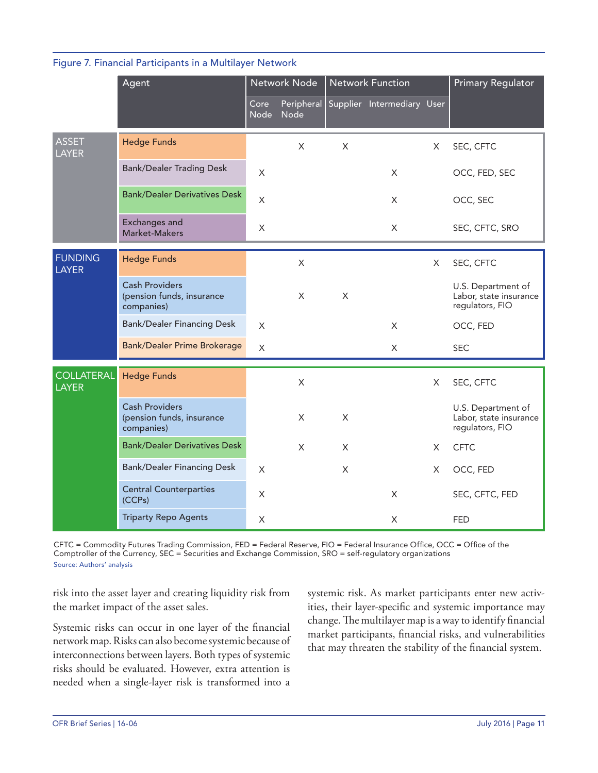|  | Figure 7. Financial Participants in a Multilayer Network |  |  |
|--|----------------------------------------------------------|--|--|
|  |                                                          |  |  |

|                                   | Agent                                                            | Network Node        |                    | <b>Network Function</b> |                            |          | Primary Regulator                                               |
|-----------------------------------|------------------------------------------------------------------|---------------------|--------------------|-------------------------|----------------------------|----------|-----------------------------------------------------------------|
|                                   |                                                                  | Core<br><b>Node</b> | Peripheral<br>Node |                         | Supplier Intermediary User |          |                                                                 |
| <b>ASSET</b><br><b>LAYER</b>      | <b>Hedge Funds</b>                                               |                     | $\times$           | $\sf X$                 |                            | $\times$ | SEC, CFTC                                                       |
|                                   | <b>Bank/Dealer Trading Desk</b>                                  | X                   |                    |                         | X                          |          | OCC, FED, SEC                                                   |
|                                   | <b>Bank/Dealer Derivatives Desk</b>                              | X                   |                    |                         | X                          |          | OCC, SEC                                                        |
|                                   | <b>Exchanges and</b><br>Market-Makers                            | X                   |                    |                         | X                          |          | SEC, CFTC, SRO                                                  |
| <b>FUNDING</b><br><b>LAYER</b>    | <b>Hedge Funds</b>                                               |                     | $\times$           |                         |                            | X        | SEC, CFTC                                                       |
|                                   | <b>Cash Providers</b><br>(pension funds, insurance<br>companies) |                     | $\times$           | X                       |                            |          | U.S. Department of<br>Labor, state insurance<br>regulators, FIO |
|                                   | <b>Bank/Dealer Financing Desk</b>                                | $\times$            |                    |                         | X                          |          | OCC, FED                                                        |
|                                   | <b>Bank/Dealer Prime Brokerage</b>                               | X                   |                    |                         | X                          |          | <b>SEC</b>                                                      |
| <b>COLLATERAL</b><br><b>LAYER</b> | <b>Hedge Funds</b>                                               |                     | $\times$           |                         |                            | X        | SEC, CFTC                                                       |
|                                   | <b>Cash Providers</b><br>(pension funds, insurance<br>companies) |                     | X                  | $\times$                |                            |          | U.S. Department of<br>Labor, state insurance<br>regulators, FIO |
|                                   | <b>Bank/Dealer Derivatives Desk</b>                              |                     | $\times$           | X                       |                            | X        | <b>CFTC</b>                                                     |
|                                   | <b>Bank/Dealer Financing Desk</b>                                | X                   |                    | $\mathsf{X}$            |                            | X        | OCC, FED                                                        |
|                                   | <b>Central Counterparties</b><br>(CCPs)                          | X                   |                    |                         | X                          |          | SEC, CFTC, FED                                                  |
|                                   | <b>Triparty Repo Agents</b>                                      | X                   |                    |                         | X                          |          | <b>FED</b>                                                      |

CFTC = Commodity Futures Trading Commission, FED = Federal Reserve, FIO = Federal Insurance Office, OCC = Office of the Comptroller of the Currency, SEC = Securities and Exchange Commission, SRO = self-regulatory organizations Source: Authors' analysis

risk into the asset layer and creating liquidity risk from the market impact of the asset sales.

Systemic risks can occur in one layer of the financial network map. Risks can also become systemic because of interconnections between layers. Both types of systemic risks should be evaluated. However, extra attention is needed when a single-layer risk is transformed into a

systemic risk. As market participants enter new activities, their layer-specific and systemic importance may change. The multilayer map is a way to identify financial market participants, financial risks, and vulnerabilities that may threaten the stability of the financial system.